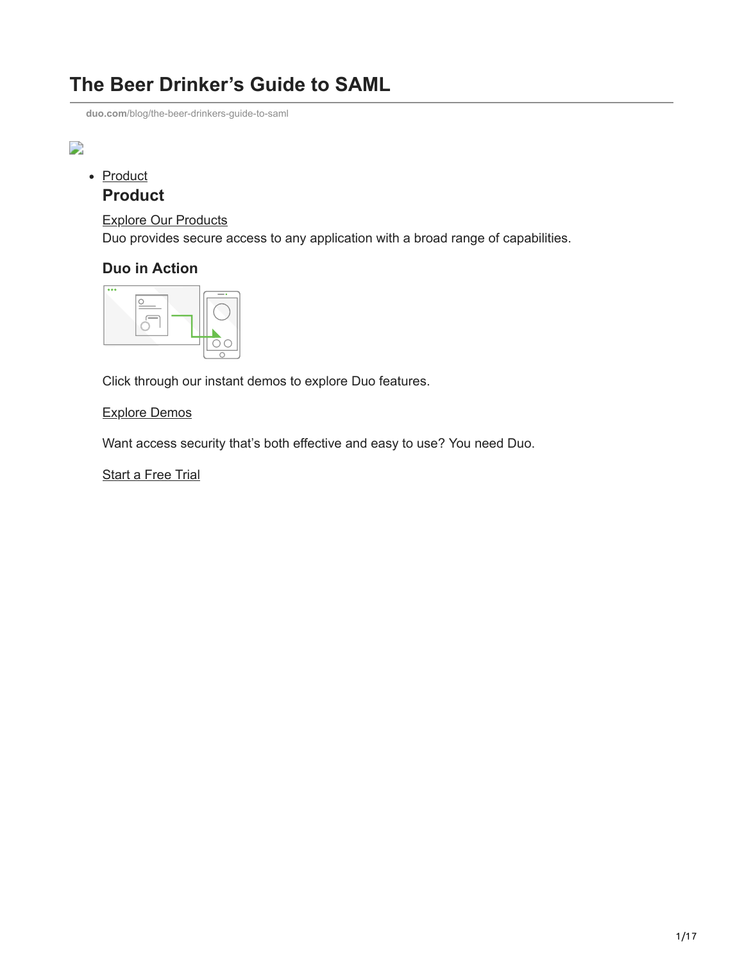## **The Beer Drinker's Guide to SAML**

**duo.com**[/blog/the-beer-drinkers-guide-to-saml](https://duo.com/blog/the-beer-drinkers-guide-to-saml)

#### $\overline{\phantom{a}}$

## • [Product](https://duo.com/product)

## **Product**

[Explore Our Products](https://duo.com/product) Duo provides secure access to any application with a broad range of capabilities.

#### **Duo in Action**



Click through our instant demos to explore Duo features.

#### [Explore Demos](https://duo.com/demos)

Want access security that's both effective and easy to use? You need Duo.

**[Start a Free Trial](https://signup.duo.com/)**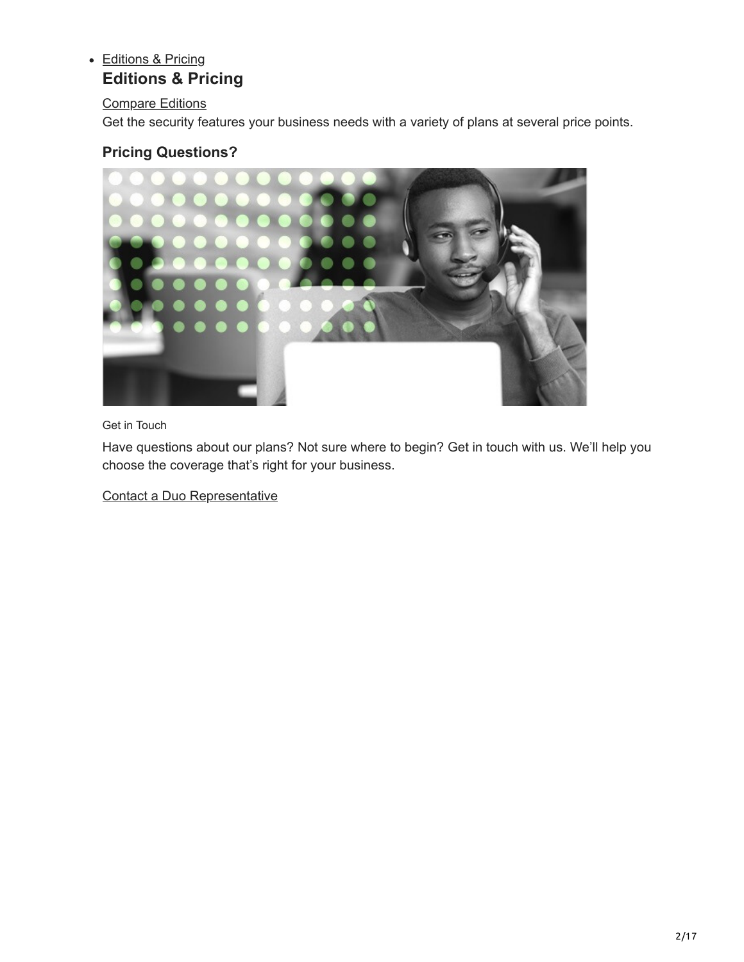## • [Editions & Pricing](https://duo.com/editions-and-pricing)

## **Editions & Pricing**

#### [Compare Editions](https://duo.com/editions-and-pricing)

Get the security features your business needs with a variety of plans at several price points.

## **Pricing Questions?**



Get in Touch

Have questions about our plans? Not sure where to begin? Get in touch with us. We'll help you choose the coverage that's right for your business.

[Contact a Duo Representative](https://duo.com/about/contact)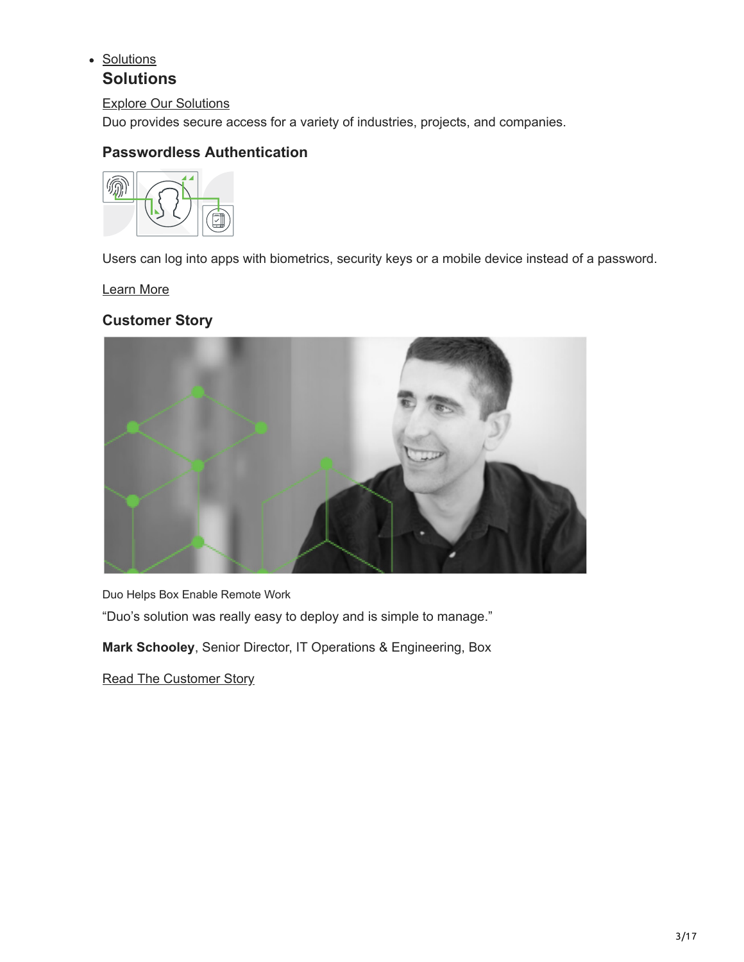### • [Solutions](https://duo.com/solutions)

## **Solutions**

[Explore Our Solutions](https://duo.com/solutions) Duo provides secure access for a variety of industries, projects, and companies.

## **Passwordless Authentication**



Users can log into apps with biometrics, security keys or a mobile device instead of a password.

[Learn More](https://duo.com/solutions/passwordless)

**Customer Story**



Duo Helps Box Enable Remote Work

"Duo's solution was really easy to deploy and is simple to manage."

**Mark Schooley**, Senior Director, IT Operations & Engineering, Box

[Read The Customer Story](https://duo.com/solutions/customer-stories/box)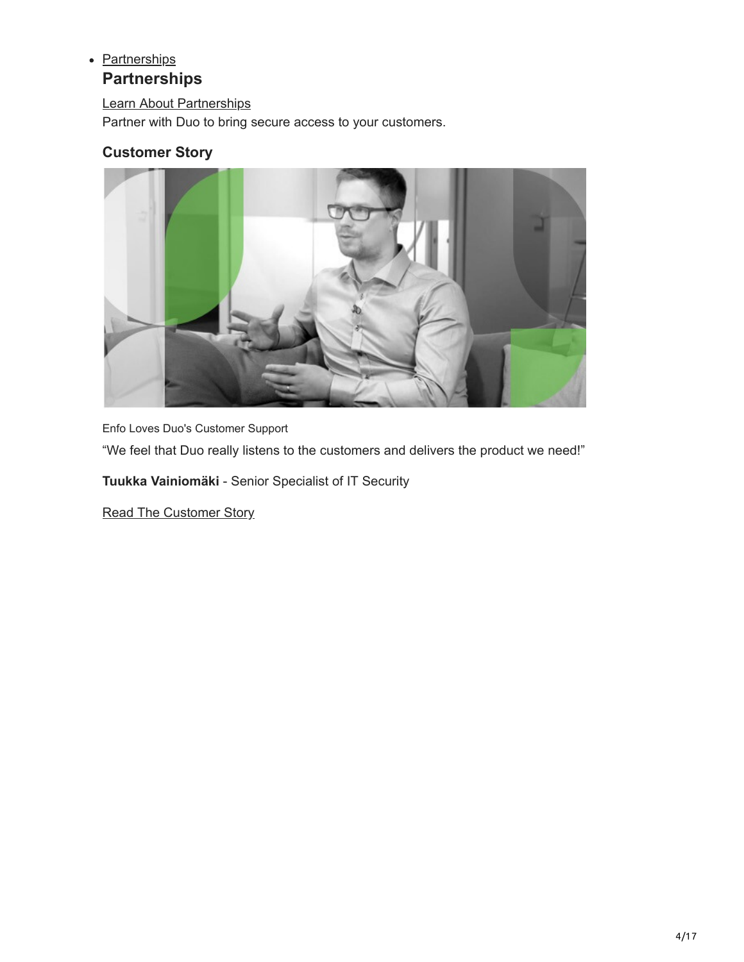#### • [Partnerships](https://duo.com/partnerships)

## **Partnerships**

[Learn About Partnerships](https://duo.com/partnerships)

Partner with Duo to bring secure access to your customers.

## **Customer Story**



Enfo Loves Duo's Customer Support

"We feel that Duo really listens to the customers and delivers the product we need!"

**Tuukka Vainiomäki** - Senior Specialist of IT Security

[Read The Customer Story](https://duo.com/solutions/customer-stories/enfo)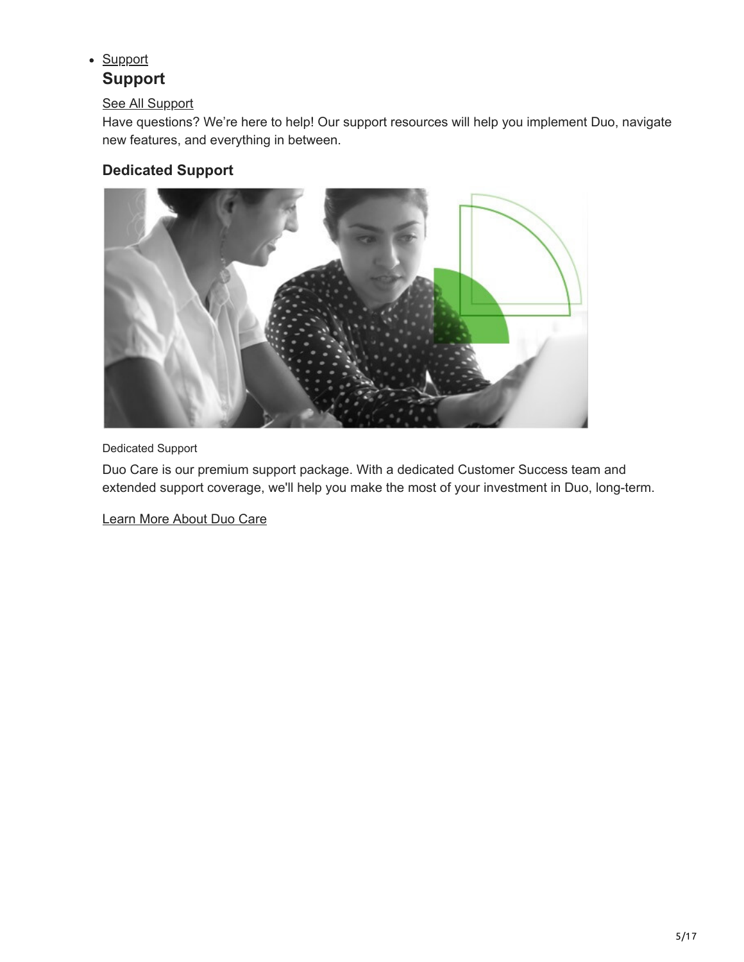# • [Support](https://duo.com/support)

## **Support**

#### [See All Support](https://duo.com/support)

Have questions? We're here to help! Our support resources will help you implement Duo, navigate new features, and everything in between.

## **Dedicated Support**



#### Dedicated Support

Duo Care is our premium support package. With a dedicated Customer Success team and extended support coverage, we'll help you make the most of your investment in Duo, long-term.

[Learn More About Duo Care](https://duo.com/support/duo-care)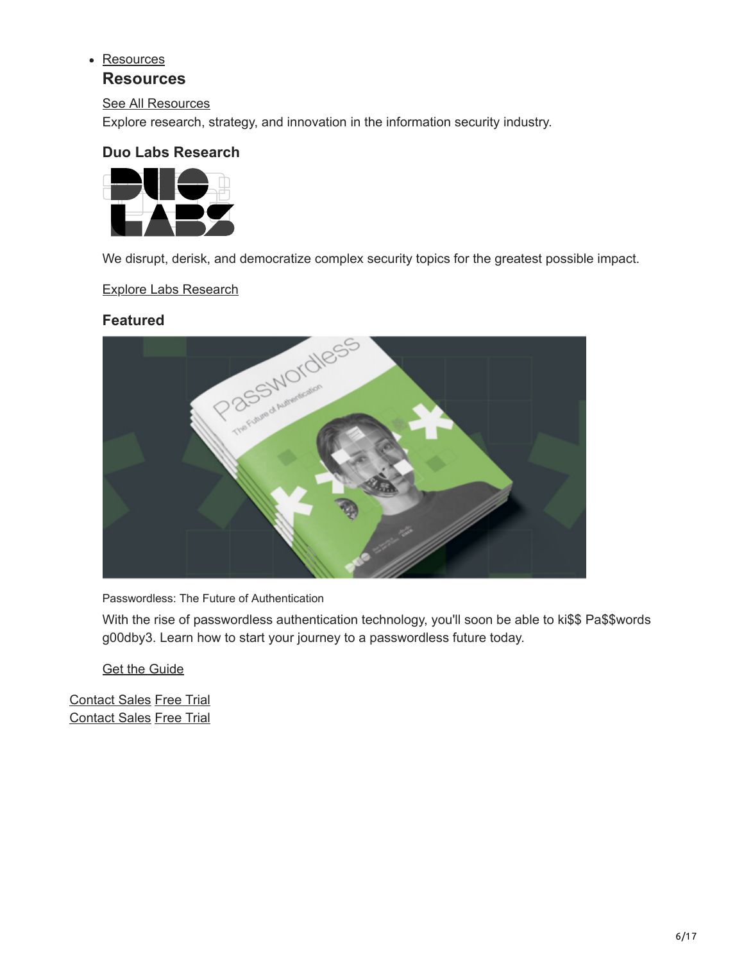#### • [Resources](https://duo.com/resources)

#### **Resources**

[See All Resources](https://duo.com/resources)

Explore research, strategy, and innovation in the information security industry.

#### **Duo Labs Research**



We disrupt, derisk, and democratize complex security topics for the greatest possible impact.

[Explore Labs Research](https://duo.com/labs)

#### **Featured**



Passwordless: The Future of Authentication

With the rise of passwordless authentication technology, you'll soon be able to ki\$\$ Pa\$\$words g00dby3. Learn how to start your journey to a passwordless future today.

[Get the Guide](https://duo.com/resources/ebooks/passwordless-the-future-of-authentication)

[Contact Sales](https://duo.com/about/contact) [Free Trial](http://signup.duo.com/) [Contact Sales](https://duo.com/about/contact) [Free Trial](http://signup.duo.com/)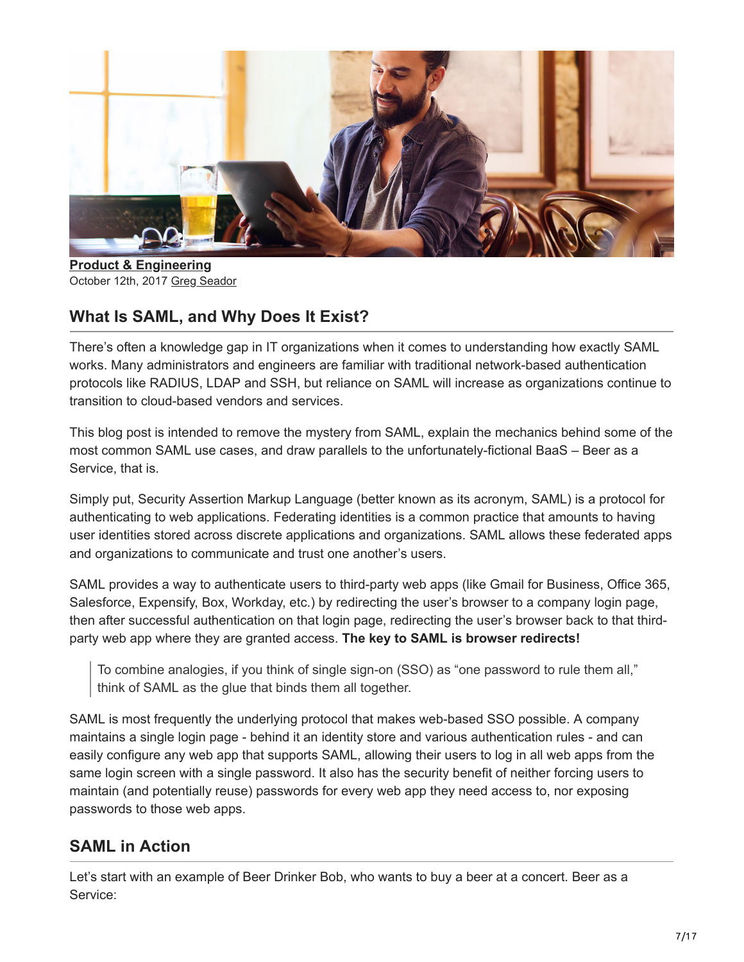

**[Product & Engineering](https://duo.com/blog/category/product-and-engineering)** October 12th, 2017 [Greg Seador](https://duo.com/blog/post-author/gseador)

## **What Is SAML, and Why Does It Exist?**

There's often a knowledge gap in IT organizations when it comes to understanding how exactly SAML works. Many administrators and engineers are familiar with traditional network-based authentication protocols like RADIUS, LDAP and SSH, but reliance on SAML will increase as organizations continue to transition to cloud-based vendors and services.

This blog post is intended to remove the mystery from SAML, explain the mechanics behind some of the most common SAML use cases, and draw parallels to the unfortunately-fictional BaaS – Beer as a Service, that is.

Simply put, Security Assertion Markup Language (better known as its acronym, SAML) is a protocol for authenticating to web applications. Federating identities is a common practice that amounts to having user identities stored across discrete applications and organizations. SAML allows these federated apps and organizations to communicate and trust one another's users.

SAML provides a way to authenticate users to third-party web apps (like Gmail for Business, Office 365, Salesforce, Expensify, Box, Workday, etc.) by redirecting the user's browser to a company login page, then after successful authentication on that login page, redirecting the user's browser back to that thirdparty web app where they are granted access. **The key to SAML is browser redirects!**

To combine analogies, if you think of single sign-on (SSO) as "one password to rule them all," think of SAML as the glue that binds them all together.

SAML is most frequently the underlying protocol that makes web-based SSO possible. A company maintains a single login page - behind it an identity store and various authentication rules - and can easily configure any web app that supports SAML, allowing their users to log in all web apps from the same login screen with a single password. It also has the security benefit of neither forcing users to maintain (and potentially reuse) passwords for every web app they need access to, nor exposing passwords to those web apps.

## **SAML in Action**

Let's start with an example of Beer Drinker Bob, who wants to buy a beer at a concert. Beer as a Service: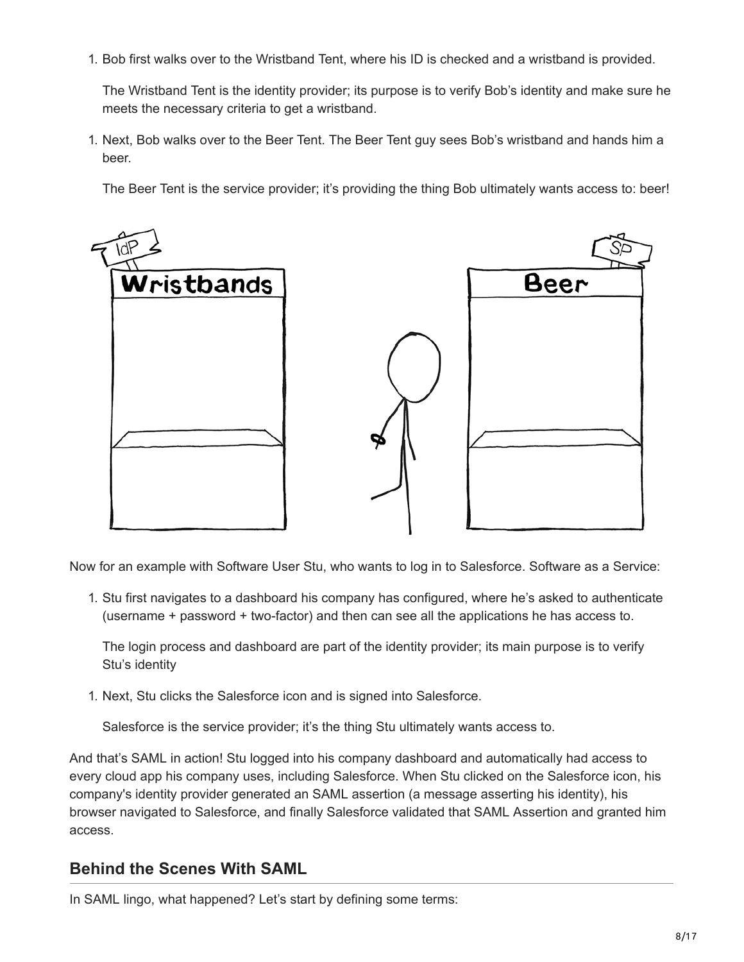1. Bob first walks over to the Wristband Tent, where his ID is checked and a wristband is provided.

The Wristband Tent is the identity provider; its purpose is to verify Bob's identity and make sure he meets the necessary criteria to get a wristband.

1. Next, Bob walks over to the Beer Tent. The Beer Tent guy sees Bob's wristband and hands him a beer.

The Beer Tent is the service provider; it's providing the thing Bob ultimately wants access to: beer!



Now for an example with Software User Stu, who wants to log in to Salesforce. Software as a Service:

1. Stu first navigates to a dashboard his company has configured, where he's asked to authenticate (username + password + two-factor) and then can see all the applications he has access to.

The login process and dashboard are part of the identity provider; its main purpose is to verify Stu's identity

1. Next, Stu clicks the Salesforce icon and is signed into Salesforce.

Salesforce is the service provider; it's the thing Stu ultimately wants access to.

And that's SAML in action! Stu logged into his company dashboard and automatically had access to every cloud app his company uses, including Salesforce. When Stu clicked on the Salesforce icon, his company's identity provider generated an SAML assertion (a message asserting his identity), his browser navigated to Salesforce, and finally Salesforce validated that SAML Assertion and granted him access.

### **Behind the Scenes With SAML**

In SAML lingo, what happened? Let's start by defining some terms: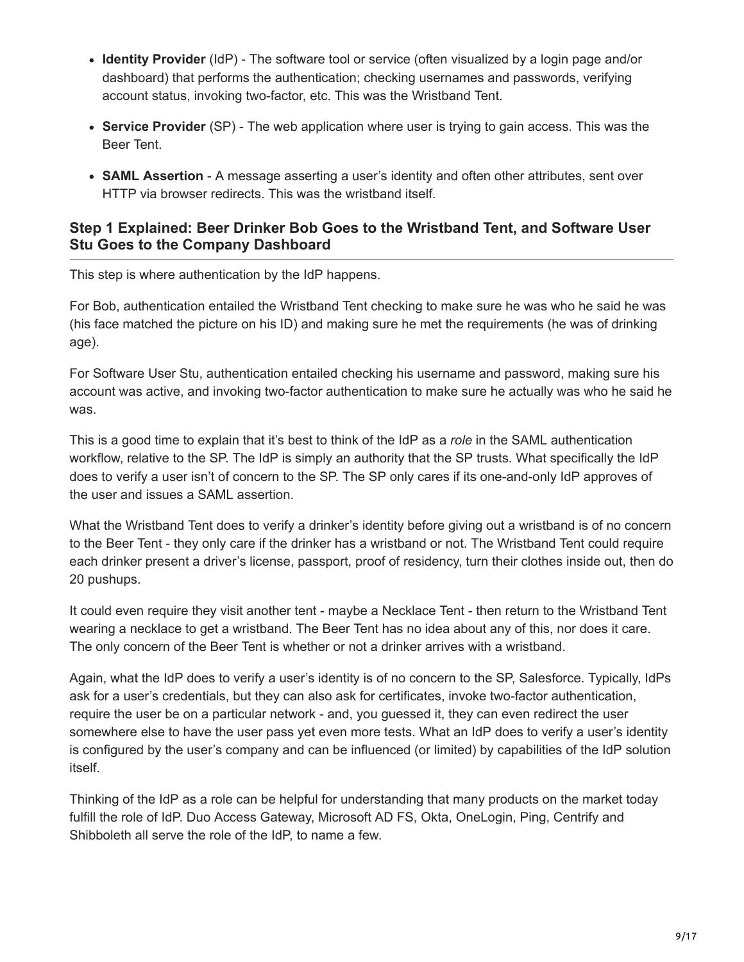- **Identity Provider** (IdP) The software tool or service (often visualized by a login page and/or dashboard) that performs the authentication; checking usernames and passwords, verifying account status, invoking two-factor, etc. This was the Wristband Tent.
- **Service Provider** (SP) The web application where user is trying to gain access. This was the Beer Tent.
- **SAML Assertion** A message asserting a user's identity and often other attributes, sent over HTTP via browser redirects. This was the wristband itself.

#### **Step 1 Explained: Beer Drinker Bob Goes to the Wristband Tent, and Software User Stu Goes to the Company Dashboard**

This step is where authentication by the IdP happens.

For Bob, authentication entailed the Wristband Tent checking to make sure he was who he said he was (his face matched the picture on his ID) and making sure he met the requirements (he was of drinking age).

For Software User Stu, authentication entailed checking his username and password, making sure his account was active, and invoking two-factor authentication to make sure he actually was who he said he was.

This is a good time to explain that it's best to think of the IdP as a *role* in the SAML authentication workflow, relative to the SP. The IdP is simply an authority that the SP trusts. What specifically the IdP does to verify a user isn't of concern to the SP. The SP only cares if its one-and-only IdP approves of the user and issues a SAML assertion.

What the Wristband Tent does to verify a drinker's identity before giving out a wristband is of no concern to the Beer Tent - they only care if the drinker has a wristband or not. The Wristband Tent could require each drinker present a driver's license, passport, proof of residency, turn their clothes inside out, then do 20 pushups.

It could even require they visit another tent - maybe a Necklace Tent - then return to the Wristband Tent wearing a necklace to get a wristband. The Beer Tent has no idea about any of this, nor does it care. The only concern of the Beer Tent is whether or not a drinker arrives with a wristband.

Again, what the IdP does to verify a user's identity is of no concern to the SP, Salesforce. Typically, IdPs ask for a user's credentials, but they can also ask for certificates, invoke two-factor authentication, require the user be on a particular network - and, you guessed it, they can even redirect the user somewhere else to have the user pass yet even more tests. What an IdP does to verify a user's identity is configured by the user's company and can be influenced (or limited) by capabilities of the IdP solution itself.

Thinking of the IdP as a role can be helpful for understanding that many products on the market today fulfill the role of IdP. Duo Access Gateway, Microsoft AD FS, Okta, OneLogin, Ping, Centrify and Shibboleth all serve the role of the IdP, to name a few.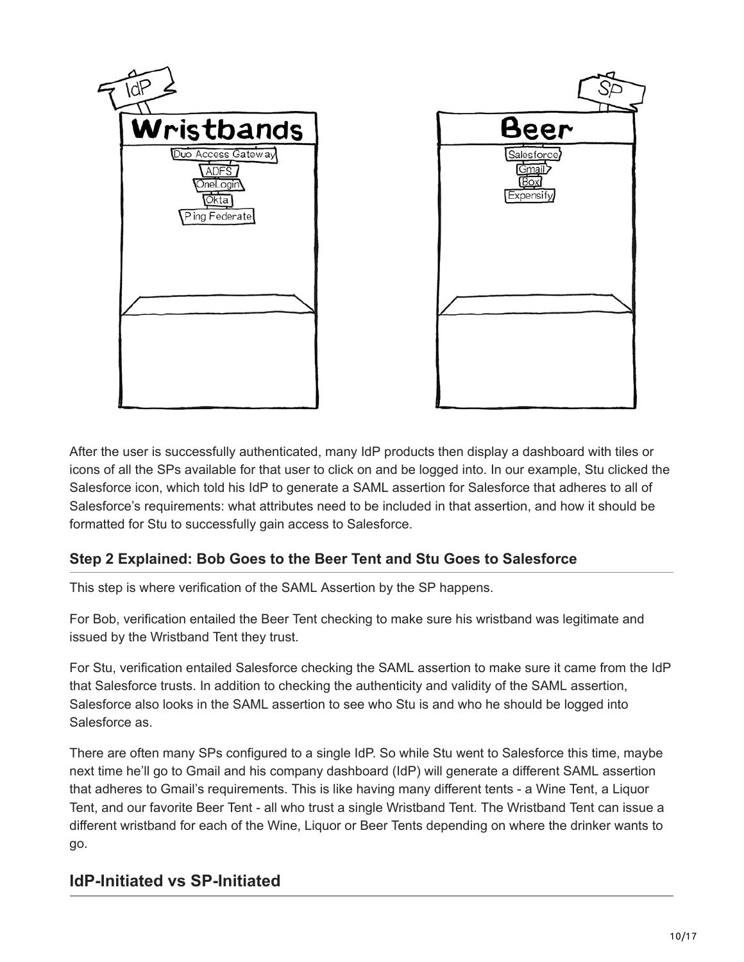

After the user is successfully authenticated, many IdP products then display a dashboard with tiles or icons of all the SPs available for that user to click on and be logged into. In our example, Stu clicked the Salesforce icon, which told his IdP to generate a SAML assertion for Salesforce that adheres to all of Salesforce's requirements: what attributes need to be included in that assertion, and how it should be formatted for Stu to successfully gain access to Salesforce.

#### **Step 2 Explained: Bob Goes to the Beer Tent and Stu Goes to Salesforce**

This step is where verification of the SAML Assertion by the SP happens.

For Bob, verification entailed the Beer Tent checking to make sure his wristband was legitimate and issued by the Wristband Tent they trust.

For Stu, verification entailed Salesforce checking the SAML assertion to make sure it came from the IdP that Salesforce trusts. In addition to checking the authenticity and validity of the SAML assertion, Salesforce also looks in the SAML assertion to see who Stu is and who he should be logged into Salesforce as.

There are often many SPs configured to a single IdP. So while Stu went to Salesforce this time, maybe next time he'll go to Gmail and his company dashboard (IdP) will generate a different SAML assertion that adheres to Gmail's requirements. This is like having many different tents - a Wine Tent, a Liquor Tent, and our favorite Beer Tent - all who trust a single Wristband Tent. The Wristband Tent can issue a different wristband for each of the Wine, Liquor or Beer Tents depending on where the drinker wants to go.

## **IdP-Initiated vs SP-Initiated**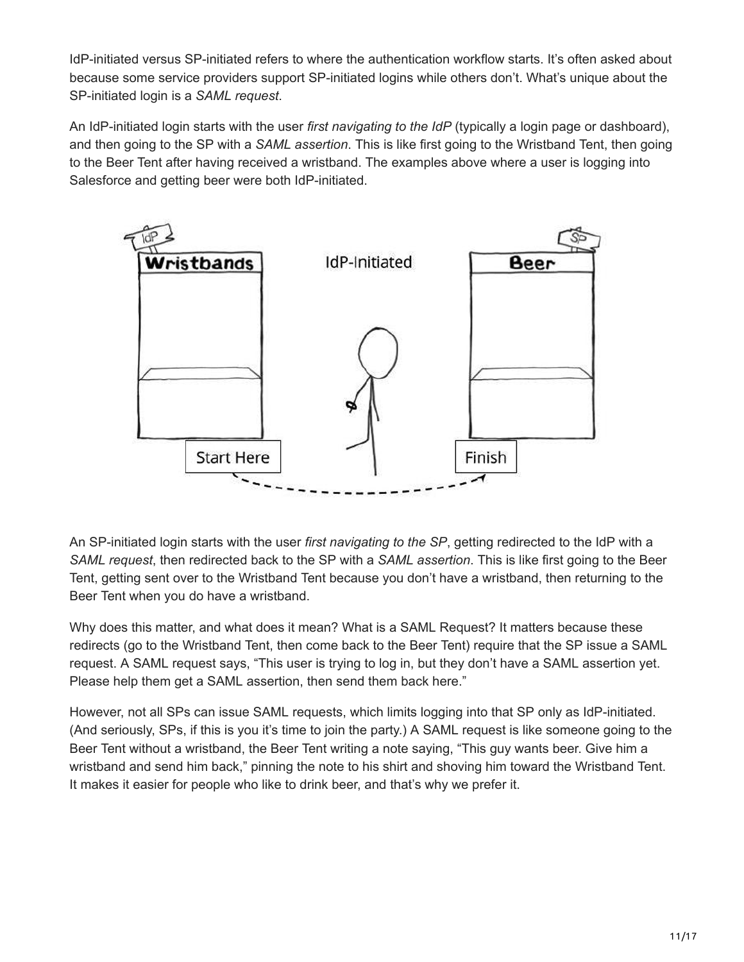IdP-initiated versus SP-initiated refers to where the authentication workflow starts. It's often asked about because some service providers support SP-initiated logins while others don't. What's unique about the SP-initiated login is a *SAML request*.

An IdP-initiated login starts with the user *first navigating to the IdP* (typically a login page or dashboard), and then going to the SP with a *SAML assertion*. This is like first going to the Wristband Tent, then going to the Beer Tent after having received a wristband. The examples above where a user is logging into Salesforce and getting beer were both IdP-initiated.



An SP-initiated login starts with the user *first navigating to the SP*, getting redirected to the IdP with a *SAML request*, then redirected back to the SP with a *SAML assertion*. This is like first going to the Beer Tent, getting sent over to the Wristband Tent because you don't have a wristband, then returning to the Beer Tent when you do have a wristband.

Why does this matter, and what does it mean? What is a SAML Request? It matters because these redirects (go to the Wristband Tent, then come back to the Beer Tent) require that the SP issue a SAML request. A SAML request says, "This user is trying to log in, but they don't have a SAML assertion yet. Please help them get a SAML assertion, then send them back here."

However, not all SPs can issue SAML requests, which limits logging into that SP only as IdP-initiated. (And seriously, SPs, if this is you it's time to join the party.) A SAML request is like someone going to the Beer Tent without a wristband, the Beer Tent writing a note saying, "This guy wants beer. Give him a wristband and send him back," pinning the note to his shirt and shoving him toward the Wristband Tent. It makes it easier for people who like to drink beer, and that's why we prefer it.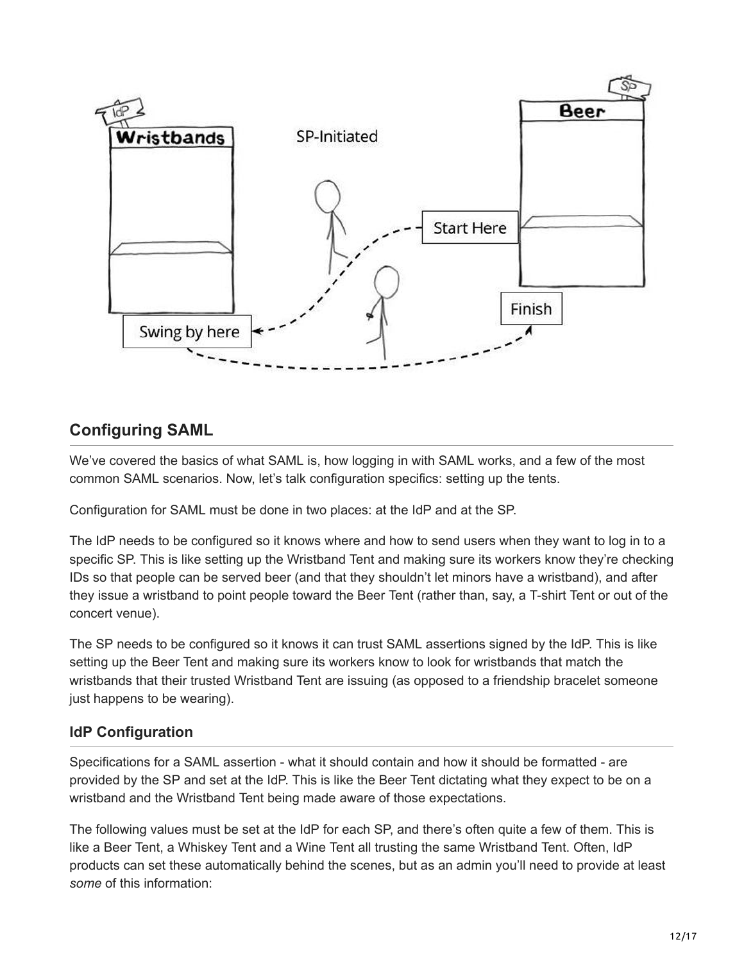

## **Configuring SAML**

We've covered the basics of what SAML is, how logging in with SAML works, and a few of the most common SAML scenarios. Now, let's talk configuration specifics: setting up the tents.

Configuration for SAML must be done in two places: at the IdP and at the SP.

The IdP needs to be configured so it knows where and how to send users when they want to log in to a specific SP. This is like setting up the Wristband Tent and making sure its workers know they're checking IDs so that people can be served beer (and that they shouldn't let minors have a wristband), and after they issue a wristband to point people toward the Beer Tent (rather than, say, a T-shirt Tent or out of the concert venue).

The SP needs to be configured so it knows it can trust SAML assertions signed by the IdP. This is like setting up the Beer Tent and making sure its workers know to look for wristbands that match the wristbands that their trusted Wristband Tent are issuing (as opposed to a friendship bracelet someone just happens to be wearing).

#### **IdP Configuration**

Specifications for a SAML assertion - what it should contain and how it should be formatted - are provided by the SP and set at the IdP. This is like the Beer Tent dictating what they expect to be on a wristband and the Wristband Tent being made aware of those expectations.

The following values must be set at the IdP for each SP, and there's often quite a few of them. This is like a Beer Tent, a Whiskey Tent and a Wine Tent all trusting the same Wristband Tent. Often, IdP products can set these automatically behind the scenes, but as an admin you'll need to provide at least *some* of this information: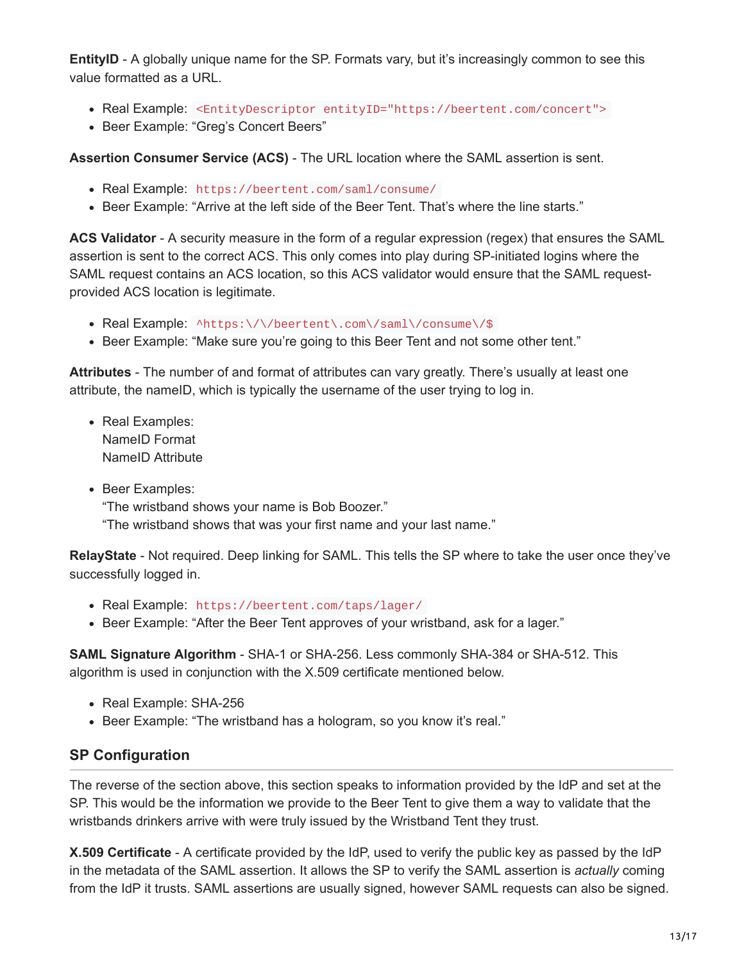**EntityID** - A globally unique name for the SP. Formats vary, but it's increasingly common to see this value formatted as a URL.

- Real Example: <EntityDescriptor entityID="https://beertent.com/concert">
- Beer Example: "Greg's Concert Beers"

**Assertion Consumer Service (ACS)** - The URL location where the SAML assertion is sent.

- Real Example: https://beertent.com/saml/consume/
- Beer Example: "Arrive at the left side of the Beer Tent. That's where the line starts."

**ACS Validator** - A security measure in the form of a regular expression (regex) that ensures the SAML assertion is sent to the correct ACS. This only comes into play during SP-initiated logins where the SAML request contains an ACS location, so this ACS validator would ensure that the SAML requestprovided ACS location is legitimate.

- Real Example: ^https:\/\/beertent\.com\/saml\/consume\/\$
- Beer Example: "Make sure you're going to this Beer Tent and not some other tent."

**Attributes** - The number of and format of attributes can vary greatly. There's usually at least one attribute, the nameID, which is typically the username of the user trying to log in.

- Real Examples: NameID Format NameID Attribute
- Beer Examples: "The wristband shows your name is Bob Boozer." "The wristband shows that was your first name and your last name."

**RelayState** - Not required. Deep linking for SAML. This tells the SP where to take the user once they've successfully logged in.

- Real Example: https://beertent.com/taps/lager/
- Beer Example: "After the Beer Tent approves of your wristband, ask for a lager."

**SAML Signature Algorithm** - SHA-1 or SHA-256. Less commonly SHA-384 or SHA-512. This algorithm is used in conjunction with the X.509 certificate mentioned below.

- Real Example: SHA-256
- Beer Example: "The wristband has a hologram, so you know it's real."

#### **SP Configuration**

The reverse of the section above, this section speaks to information provided by the IdP and set at the SP. This would be the information we provide to the Beer Tent to give them a way to validate that the wristbands drinkers arrive with were truly issued by the Wristband Tent they trust.

**X.509 Certificate** - A certificate provided by the IdP, used to verify the public key as passed by the IdP in the metadata of the SAML assertion. It allows the SP to verify the SAML assertion is *actually* coming from the IdP it trusts. SAML assertions are usually signed, however SAML requests can also be signed.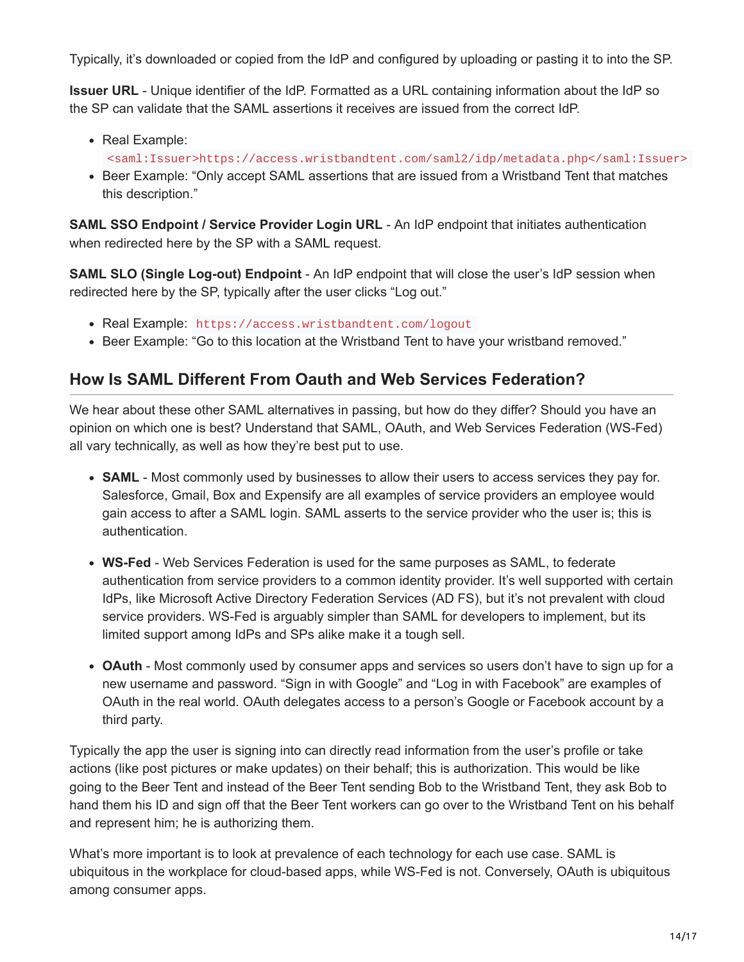Typically, it's downloaded or copied from the IdP and configured by uploading or pasting it to into the SP.

**Issuer URL** - Unique identifier of the IdP. Formatted as a URL containing information about the IdP so the SP can validate that the SAML assertions it receives are issued from the correct IdP.

- Real Example:
	- <saml:Issuer>https://access.wristbandtent.com/saml2/idp/metadata.php</saml:Issuer>
- Beer Example: "Only accept SAML assertions that are issued from a Wristband Tent that matches this description."

**SAML SSO Endpoint / Service Provider Login URL** - An IdP endpoint that initiates authentication when redirected here by the SP with a SAML request.

**SAML SLO (Single Log-out) Endpoint** - An IdP endpoint that will close the user's IdP session when redirected here by the SP, typically after the user clicks "Log out."

- Real Example: https://access.wristbandtent.com/logout
- Beer Example: "Go to this location at the Wristband Tent to have your wristband removed."

## **How Is SAML Different From Oauth and Web Services Federation?**

We hear about these other SAML alternatives in passing, but how do they differ? Should you have an opinion on which one is best? Understand that SAML, OAuth, and Web Services Federation (WS-Fed) all vary technically, as well as how they're best put to use.

- **SAML** Most commonly used by businesses to allow their users to access services they pay for. Salesforce, Gmail, Box and Expensify are all examples of service providers an employee would gain access to after a SAML login. SAML asserts to the service provider who the user is; this is authentication.
- **WS-Fed** Web Services Federation is used for the same purposes as SAML, to federate authentication from service providers to a common identity provider. It's well supported with certain IdPs, like Microsoft Active Directory Federation Services (AD FS), but it's not prevalent with cloud service providers. WS-Fed is arguably simpler than SAML for developers to implement, but its limited support among IdPs and SPs alike make it a tough sell.
- **OAuth** Most commonly used by consumer apps and services so users don't have to sign up for a new username and password. "Sign in with Google" and "Log in with Facebook" are examples of OAuth in the real world. OAuth delegates access to a person's Google or Facebook account by a third party.

Typically the app the user is signing into can directly read information from the user's profile or take actions (like post pictures or make updates) on their behalf; this is authorization. This would be like going to the Beer Tent and instead of the Beer Tent sending Bob to the Wristband Tent, they ask Bob to hand them his ID and sign off that the Beer Tent workers can go over to the Wristband Tent on his behalf and represent him; he is authorizing them.

What's more important is to look at prevalence of each technology for each use case. SAML is ubiquitous in the workplace for cloud-based apps, while WS-Fed is not. Conversely, OAuth is ubiquitous among consumer apps.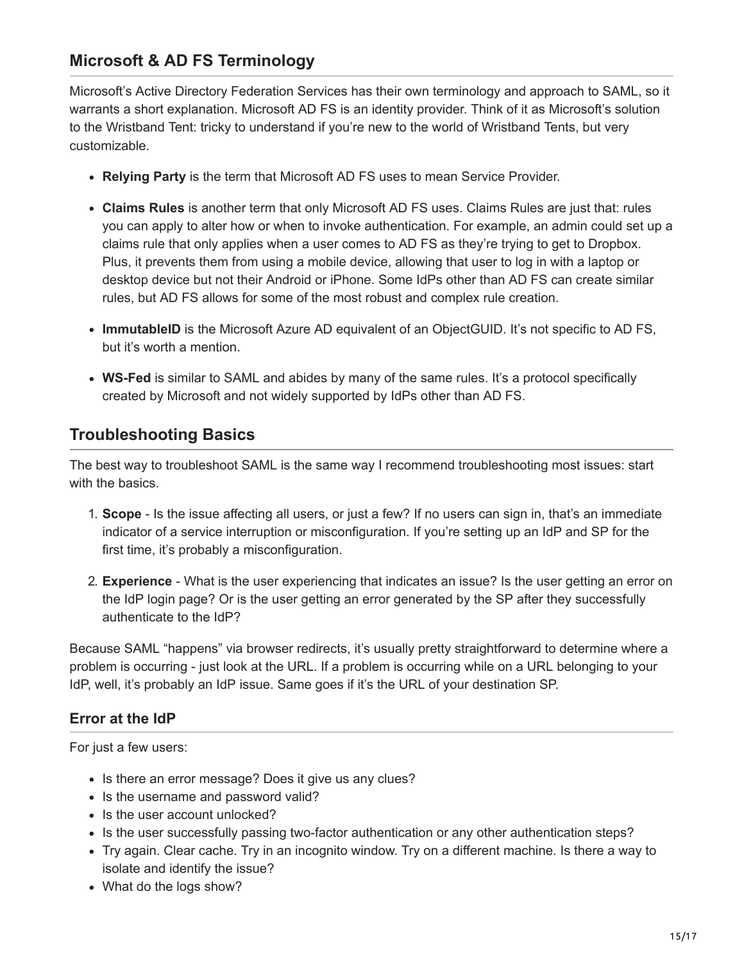## **Microsoft & AD FS Terminology**

Microsoft's Active Directory Federation Services has their own terminology and approach to SAML, so it warrants a short explanation. Microsoft AD FS is an identity provider. Think of it as Microsoft's solution to the Wristband Tent: tricky to understand if you're new to the world of Wristband Tents, but very customizable.

- **Relying Party** is the term that Microsoft AD FS uses to mean Service Provider.
- **Claims Rules** is another term that only Microsoft AD FS uses. Claims Rules are just that: rules you can apply to alter how or when to invoke authentication. For example, an admin could set up a claims rule that only applies when a user comes to AD FS as they're trying to get to Dropbox. Plus, it prevents them from using a mobile device, allowing that user to log in with a laptop or desktop device but not their Android or iPhone. Some IdPs other than AD FS can create similar rules, but AD FS allows for some of the most robust and complex rule creation.
- **ImmutableID** is the Microsoft Azure AD equivalent of an ObjectGUID. It's not specific to AD FS, but it's worth a mention.
- **WS-Fed** is similar to SAML and abides by many of the same rules. It's a protocol specifically created by Microsoft and not widely supported by IdPs other than AD FS.

### **Troubleshooting Basics**

The best way to troubleshoot SAML is the same way I recommend troubleshooting most issues: start with the basics.

- 1. **Scope** Is the issue affecting all users, or just a few? If no users can sign in, that's an immediate indicator of a service interruption or misconfiguration. If you're setting up an IdP and SP for the first time, it's probably a misconfiguration.
- 2. **Experience** What is the user experiencing that indicates an issue? Is the user getting an error on the IdP login page? Or is the user getting an error generated by the SP after they successfully authenticate to the IdP?

Because SAML "happens" via browser redirects, it's usually pretty straightforward to determine where a problem is occurring - just look at the URL. If a problem is occurring while on a URL belonging to your IdP, well, it's probably an IdP issue. Same goes if it's the URL of your destination SP.

#### **Error at the IdP**

For just a few users:

- Is there an error message? Does it give us any clues?
- Is the username and password valid?
- Is the user account unlocked?
- Is the user successfully passing two-factor authentication or any other authentication steps?
- Try again. Clear cache. Try in an incognito window. Try on a different machine. Is there a way to isolate and identify the issue?
- What do the logs show?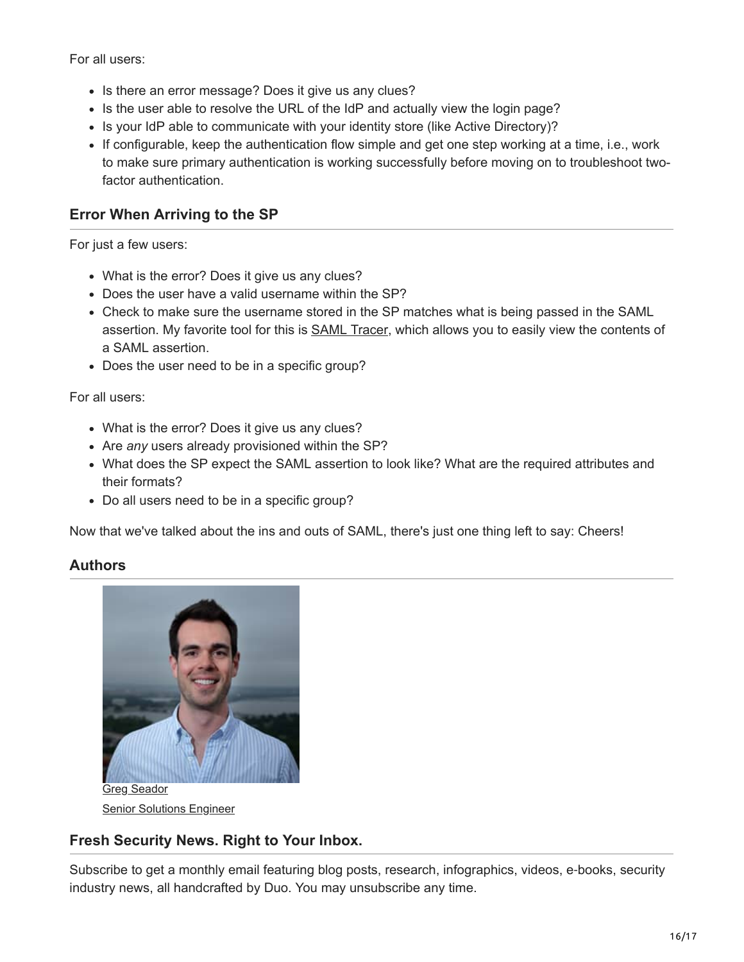For all users:

- Is there an error message? Does it give us any clues?
- Is the user able to resolve the URL of the IdP and actually view the login page?
- Is your IdP able to communicate with your identity store (like Active Directory)?
- If configurable, keep the authentication flow simple and get one step working at a time, i.e., work to make sure primary authentication is working successfully before moving on to troubleshoot twofactor authentication

#### **Error When Arriving to the SP**

For just a few users:

- What is the error? Does it give us any clues?
- Does the user have a valid username within the SP?
- Check to make sure the username stored in the SP matches what is being passed in the SAML assertion. My favorite tool for this is [SAML Tracer,](https://addons.mozilla.org/en-US/firefox/addon/saml-tracer/) which allows you to easily view the contents of a SAML assertion.
- Does the user need to be in a specific group?

For all users:

- What is the error? Does it give us any clues?
- Are *any* users already provisioned within the SP?
- What does the SP expect the SAML assertion to look like? What are the required attributes and their formats?
- Do all users need to be in a specific group?

Now that we've talked about the ins and outs of SAML, there's just one thing left to say: Cheers!

#### **Authors**



Greg Seador [Senior Solutions Engineer](https://duo.com/blog/post-author/gseador)

#### **Fresh Security News. Right to Your Inbox.**

Subscribe to get a monthly email featuring blog posts, research, infographics, videos, e-books, security industry news, all handcrafted by Duo. You may unsubscribe any time.